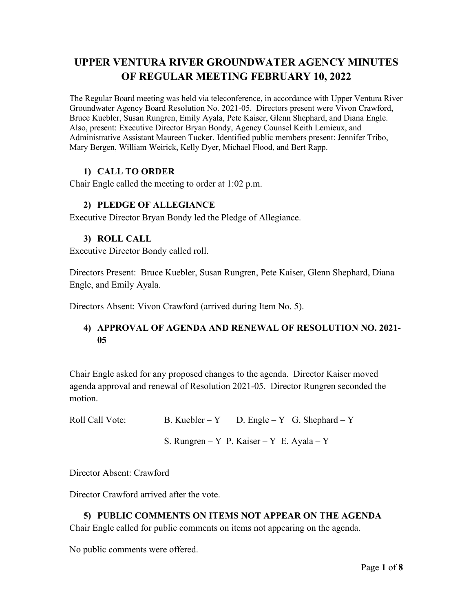# **UPPER VENTURA RIVER GROUNDWATER AGENCY MINUTES OF REGULAR MEETING FEBRUARY 10, 2022**

The Regular Board meeting was held via teleconference, in accordance with Upper Ventura River Groundwater Agency Board Resolution No. 2021-05. Directors present were Vivon Crawford, Bruce Kuebler, Susan Rungren, Emily Ayala, Pete Kaiser, Glenn Shephard, and Diana Engle. Also, present: Executive Director Bryan Bondy, Agency Counsel Keith Lemieux, and Administrative Assistant Maureen Tucker. Identified public members present: Jennifer Tribo, Mary Bergen, William Weirick, Kelly Dyer, Michael Flood, and Bert Rapp.

# **1) CALL TO ORDER**

Chair Engle called the meeting to order at 1:02 p.m.

# **2) PLEDGE OF ALLEGIANCE**

Executive Director Bryan Bondy led the Pledge of Allegiance.

# **3) ROLL CALL**

Executive Director Bondy called roll.

Directors Present: Bruce Kuebler, Susan Rungren, Pete Kaiser, Glenn Shephard, Diana Engle, and Emily Ayala.

Directors Absent: Vivon Crawford (arrived during Item No. 5).

# **4) APPROVAL OF AGENDA AND RENEWAL OF RESOLUTION NO. 2021- 05**

Chair Engle asked for any proposed changes to the agenda. Director Kaiser moved agenda approval and renewal of Resolution 2021-05. Director Rungren seconded the motion.

Roll Call Vote: B. Kuebler – Y D. Engle – Y G. Shephard – Y S. Rungren – Y P. Kaiser – Y E. Ayala – Y

Director Absent: Crawford

Director Crawford arrived after the vote.

# **5) PUBLIC COMMENTS ON ITEMS NOT APPEAR ON THE AGENDA**

Chair Engle called for public comments on items not appearing on the agenda.

No public comments were offered.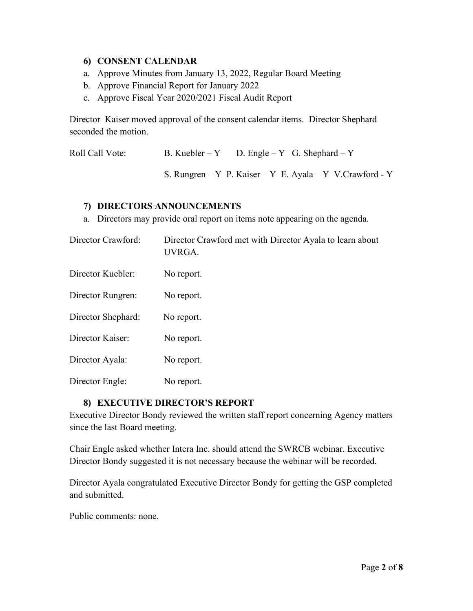#### **6) CONSENT CALENDAR**

- a. Approve Minutes from January 13, 2022, Regular Board Meeting
- b. Approve Financial Report for January 2022
- c. Approve Fiscal Year 2020/2021 Fiscal Audit Report

Director Kaiser moved approval of the consent calendar items. Director Shephard seconded the motion.

| Roll Call Vote: | B. Kuebler – Y D. Engle – Y G. Shephard – Y               |  |  |
|-----------------|-----------------------------------------------------------|--|--|
|                 | S. Rungren – Y P. Kaiser – Y E. Ayala – Y V. Crawford - Y |  |  |

#### **7) DIRECTORS ANNOUNCEMENTS**

a. Directors may provide oral report on items note appearing on the agenda.

| Director Crawford: | Director Crawford met with Director Ayala to learn about<br>UVRGA. |
|--------------------|--------------------------------------------------------------------|
| Director Kuebler:  | No report.                                                         |
| Director Rungren:  | No report.                                                         |
| Director Shephard: | No report.                                                         |
| Director Kaiser:   | No report.                                                         |
| Director Ayala:    | No report.                                                         |
| Director Engle:    | No report.                                                         |

# **8) EXECUTIVE DIRECTOR'S REPORT**

Executive Director Bondy reviewed the written staff report concerning Agency matters since the last Board meeting.

Chair Engle asked whether Intera Inc. should attend the SWRCB webinar. Executive Director Bondy suggested it is not necessary because the webinar will be recorded.

Director Ayala congratulated Executive Director Bondy for getting the GSP completed and submitted.

Public comments: none.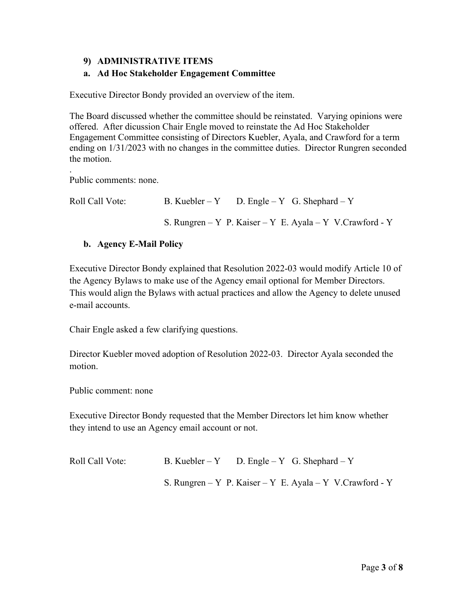# **9) ADMINISTRATIVE ITEMS**

# **a. Ad Hoc Stakeholder Engagement Committee**

Executive Director Bondy provided an overview of the item.

The Board discussed whether the committee should be reinstated. Varying opinions were offered. After dicussion Chair Engle moved to reinstate the Ad Hoc Stakeholder Engagement Committee consisting of Directors Kuebler, Ayala, and Crawford for a term ending on 1/31/2023 with no changes in the committee duties. Director Rungren seconded the motion.

. Public comments: none.

| Roll Call Vote: | B. Kuebler – Y D. Engle – Y G. Shephard – Y               |  |  |
|-----------------|-----------------------------------------------------------|--|--|
|                 | S. Rungren – Y P. Kaiser – Y E. Ayala – Y V. Crawford - Y |  |  |

# **b. Agency E-Mail Policy**

Executive Director Bondy explained that Resolution 2022-03 would modify Article 10 of the Agency Bylaws to make use of the Agency email optional for Member Directors. This would align the Bylaws with actual practices and allow the Agency to delete unused e-mail accounts.

Chair Engle asked a few clarifying questions.

Director Kuebler moved adoption of Resolution 2022-03. Director Ayala seconded the motion.

Public comment: none

Executive Director Bondy requested that the Member Directors let him know whether they intend to use an Agency email account or not.

Roll Call Vote: B. Kuebler – Y D. Engle – Y G. Shephard – Y S. Rungren – Y P. Kaiser – Y E. Ayala – Y V.Crawford - Y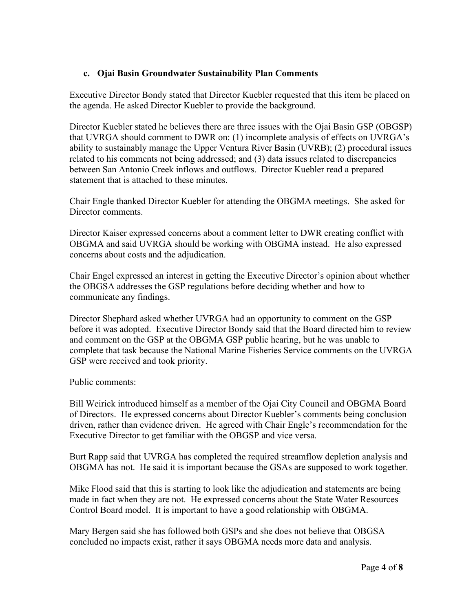# **c. Ojai Basin Groundwater Sustainability Plan Comments**

Executive Director Bondy stated that Director Kuebler requested that this item be placed on the agenda. He asked Director Kuebler to provide the background.

Director Kuebler stated he believes there are three issues with the Ojai Basin GSP (OBGSP) that UVRGA should comment to DWR on: (1) incomplete analysis of effects on UVRGA's ability to sustainably manage the Upper Ventura River Basin (UVRB); (2) procedural issues related to his comments not being addressed; and (3) data issues related to discrepancies between San Antonio Creek inflows and outflows. Director Kuebler read a prepared statement that is attached to these minutes.

Chair Engle thanked Director Kuebler for attending the OBGMA meetings. She asked for Director comments.

Director Kaiser expressed concerns about a comment letter to DWR creating conflict with OBGMA and said UVRGA should be working with OBGMA instead. He also expressed concerns about costs and the adjudication.

Chair Engel expressed an interest in getting the Executive Director's opinion about whether the OBGSA addresses the GSP regulations before deciding whether and how to communicate any findings.

Director Shephard asked whether UVRGA had an opportunity to comment on the GSP before it was adopted. Executive Director Bondy said that the Board directed him to review and comment on the GSP at the OBGMA GSP public hearing, but he was unable to complete that task because the National Marine Fisheries Service comments on the UVRGA GSP were received and took priority.

Public comments:

Bill Weirick introduced himself as a member of the Ojai City Council and OBGMA Board of Directors. He expressed concerns about Director Kuebler's comments being conclusion driven, rather than evidence driven. He agreed with Chair Engle's recommendation for the Executive Director to get familiar with the OBGSP and vice versa.

Burt Rapp said that UVRGA has completed the required streamflow depletion analysis and OBGMA has not. He said it is important because the GSAs are supposed to work together.

Mike Flood said that this is starting to look like the adjudication and statements are being made in fact when they are not. He expressed concerns about the State Water Resources Control Board model. It is important to have a good relationship with OBGMA.

Mary Bergen said she has followed both GSPs and she does not believe that OBGSA concluded no impacts exist, rather it says OBGMA needs more data and analysis.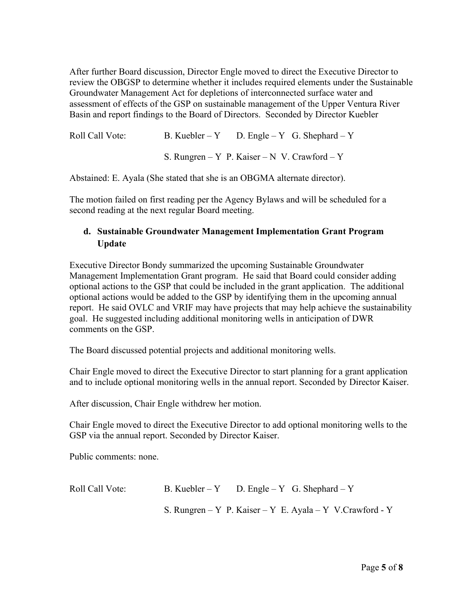After further Board discussion, Director Engle moved to direct the Executive Director to review the OBGSP to determine whether it includes required elements under the Sustainable Groundwater Management Act for depletions of interconnected surface water and assessment of effects of the GSP on sustainable management of the Upper Ventura River Basin and report findings to the Board of Directors. Seconded by Director Kuebler

Roll Call Vote: B. Kuebler – Y D. Engle – Y G. Shephard – Y S. Rungren – Y P. Kaiser – N V. Crawford – Y

Abstained: E. Ayala (She stated that she is an OBGMA alternate director).

The motion failed on first reading per the Agency Bylaws and will be scheduled for a second reading at the next regular Board meeting.

# **d. Sustainable Groundwater Management Implementation Grant Program Update**

Executive Director Bondy summarized the upcoming Sustainable Groundwater Management Implementation Grant program. He said that Board could consider adding optional actions to the GSP that could be included in the grant application. The additional optional actions would be added to the GSP by identifying them in the upcoming annual report. He said OVLC and VRIF may have projects that may help achieve the sustainability goal. He suggested including additional monitoring wells in anticipation of DWR comments on the GSP.

The Board discussed potential projects and additional monitoring wells.

Chair Engle moved to direct the Executive Director to start planning for a grant application and to include optional monitoring wells in the annual report. Seconded by Director Kaiser.

After discussion, Chair Engle withdrew her motion.

Chair Engle moved to direct the Executive Director to add optional monitoring wells to the GSP via the annual report. Seconded by Director Kaiser.

Public comments: none.

| Roll Call Vote: | B. Kuebler – Y D. Engle – Y G. Shephard – Y               |  |  |
|-----------------|-----------------------------------------------------------|--|--|
|                 | S. Rungren – Y P. Kaiser – Y E. Ayala – Y V. Crawford - Y |  |  |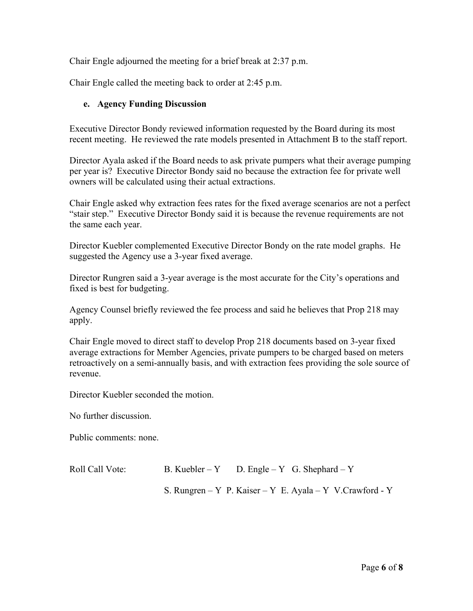Chair Engle adjourned the meeting for a brief break at 2:37 p.m.

Chair Engle called the meeting back to order at 2:45 p.m.

#### **e. Agency Funding Discussion**

Executive Director Bondy reviewed information requested by the Board during its most recent meeting. He reviewed the rate models presented in Attachment B to the staff report.

Director Ayala asked if the Board needs to ask private pumpers what their average pumping per year is? Executive Director Bondy said no because the extraction fee for private well owners will be calculated using their actual extractions.

Chair Engle asked why extraction fees rates for the fixed average scenarios are not a perfect "stair step." Executive Director Bondy said it is because the revenue requirements are not the same each year.

Director Kuebler complemented Executive Director Bondy on the rate model graphs. He suggested the Agency use a 3-year fixed average.

Director Rungren said a 3-year average is the most accurate for the City's operations and fixed is best for budgeting.

Agency Counsel briefly reviewed the fee process and said he believes that Prop 218 may apply.

Chair Engle moved to direct staff to develop Prop 218 documents based on 3-year fixed average extractions for Member Agencies, private pumpers to be charged based on meters retroactively on a semi-annually basis, and with extraction fees providing the sole source of revenue.

Director Kuebler seconded the motion.

No further discussion.

Public comments: none.

Roll Call Vote: B. Kuebler – Y D. Engle – Y G. Shephard – Y

S. Rungren – Y P. Kaiser – Y E. Ayala – Y V.Crawford - Y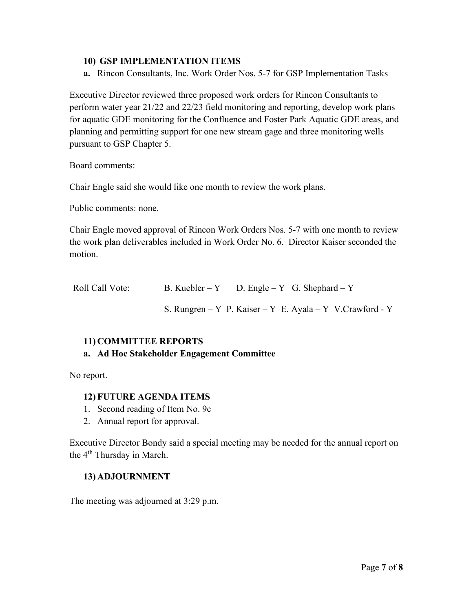#### **10) GSP IMPLEMENTATION ITEMS**

**a.** Rincon Consultants, Inc. Work Order Nos. 5-7 for GSP Implementation Tasks

Executive Director reviewed three proposed work orders for Rincon Consultants to perform water year 21/22 and 22/23 field monitoring and reporting, develop work plans for aquatic GDE monitoring for the Confluence and Foster Park Aquatic GDE areas, and planning and permitting support for one new stream gage and three monitoring wells pursuant to GSP Chapter 5.

Board comments:

Chair Engle said she would like one month to review the work plans.

Public comments: none.

Chair Engle moved approval of Rincon Work Orders Nos. 5-7 with one month to review the work plan deliverables included in Work Order No. 6. Director Kaiser seconded the motion.

| Roll Call Vote: | B. Kuebler – Y D. Engle – Y G. Shephard – Y |                                                           |
|-----------------|---------------------------------------------|-----------------------------------------------------------|
|                 |                                             | S. Rungren – Y P. Kaiser – Y E. Ayala – Y V. Crawford - Y |

# **11) COMMITTEE REPORTS**

# **a. Ad Hoc Stakeholder Engagement Committee**

No report.

# **12) FUTURE AGENDA ITEMS**

- 1. Second reading of Item No. 9c
- 2. Annual report for approval.

Executive Director Bondy said a special meeting may be needed for the annual report on the 4<sup>th</sup> Thursday in March.

#### **13) ADJOURNMENT**

The meeting was adjourned at 3:29 p.m.